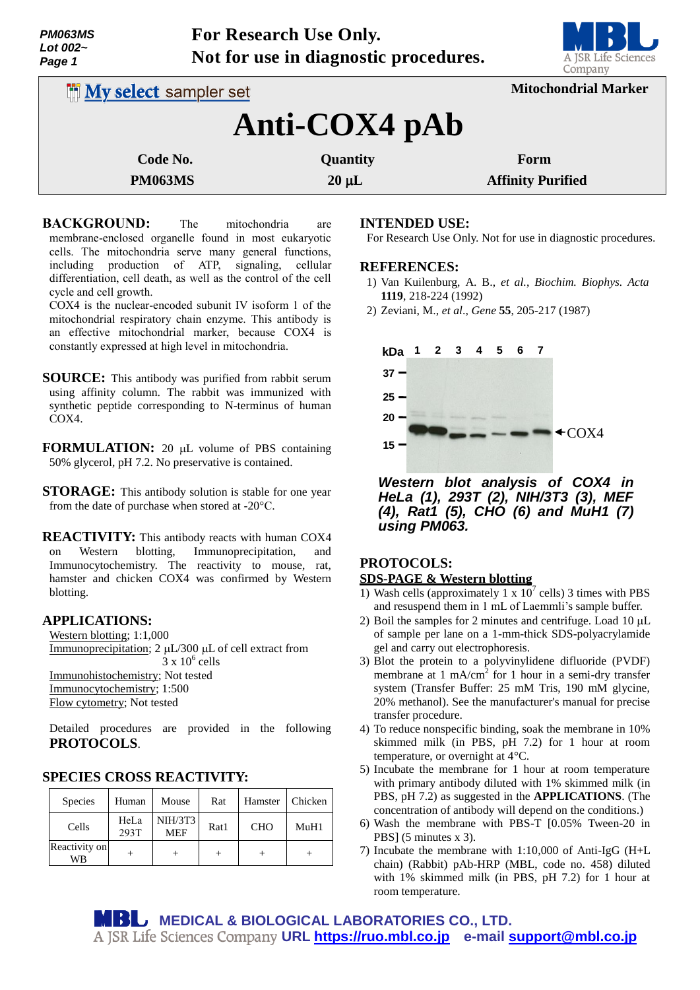| <b>PM063MS</b> |  |  |  |  |  |
|----------------|--|--|--|--|--|
| Lot 002~       |  |  |  |  |  |
| Page 1         |  |  |  |  |  |



| <b>IN My select sampler set</b> |            | <b>Mitochondrial Marker</b> |  |  |  |  |
|---------------------------------|------------|-----------------------------|--|--|--|--|
| Anti-COX4 pAb                   |            |                             |  |  |  |  |
| Code No.                        | Quantity   | Form                        |  |  |  |  |
| <b>PM063MS</b>                  | $20 \mu L$ | <b>Affinity Purified</b>    |  |  |  |  |

**BACKGROUND:** The mitochondria are membrane-enclosed organelle found in most eukaryotic cells. The mitochondria serve many general functions, including production of ATP, signaling, cellular differentiation, cell death, as well as the control of the cell cycle and cell growth.

COX4 is the nuclear-encoded subunit IV isoform 1 of the mitochondrial respiratory chain enzyme. This antibody is an effective mitochondrial marker, because COX4 is constantly expressed at high level in mitochondria.

- **SOURCE:** This antibody was purified from rabbit serum using affinity column. The rabbit was immunized with synthetic peptide corresponding to N-terminus of human COX4.
- **FORMULATION:** 20 µL volume of PBS containing 50% glycerol, pH 7.2. No preservative is contained.
- **STORAGE:** This antibody solution is stable for one year from the date of purchase when stored at -20°C.

**REACTIVITY:** This antibody reacts with human COX4 on Western blotting, Immunoprecipitation, and Immunocytochemistry. The reactivity to mouse, rat, hamster and chicken COX4 was confirmed by Western blotting.

## **APPLICATIONS:**

Western blotting; 1:1,000 Immunoprecipitation;  $2 \mu L/300 \mu L$  of cell extract from  $3 \times 10^6$  cells Immunohistochemistry; Not tested Immunocytochemistry; 1:500 Flow cytometry; Not tested

Detailed procedures are provided in the following **PROTOCOLS**.

# **SPECIES CROSS REACTIVITY:**

| <b>Species</b>      | Human        | Mouse                        | Rat  | Hamster    | Chicken |
|---------------------|--------------|------------------------------|------|------------|---------|
| Cells               | HeLa<br>293T | <b>NIH/3T3</b><br><b>MEF</b> | Rat1 | <b>CHO</b> | MuH1    |
| Reactivity on<br>WВ |              |                              |      |            |         |

## **INTENDED USE:**

For Research Use Only. Not for use in diagnostic procedures.

### **REFERENCES:**

- 1) Van Kuilenburg, A. B., *et al.*, *Biochim. Biophys. Acta* **1119**, 218-224 (1992)
- 2) Zeviani, M., *et al*., *Gene* **55**, 205-217 (1987)



*Western blot analysis of COX4 in HeLa (1), 293T (2), NIH/3T3 (3), MEF (4), Rat1 (5), CHO (6) and MuH1 (7) using PM063.*

# **PROTOCOLS:**

## **SDS-PAGE & Western blotting**

- 1) Wash cells (approximately 1 x  $10^7$  cells) 3 times with PBS and resuspend them in 1 mL of Laemmli's sample buffer.
- 2) Boil the samples for 2 minutes and centrifuge. Load  $10 \mu L$ of sample per lane on a 1-mm-thick SDS-polyacrylamide gel and carry out electrophoresis.
- 3) Blot the protein to a polyvinylidene difluoride (PVDF) membrane at 1 mA/cm<sup>2</sup> for 1 hour in a semi-dry transfer system (Transfer Buffer: 25 mM Tris, 190 mM glycine, 20% methanol). See the manufacturer's manual for precise transfer procedure.
- 4) To reduce nonspecific binding, soak the membrane in 10% skimmed milk (in PBS, pH 7.2) for 1 hour at room temperature, or overnight at 4°C.
- 5) Incubate the membrane for 1 hour at room temperature with primary antibody diluted with 1% skimmed milk (in PBS, pH 7.2) as suggested in the **APPLICATIONS**. (The concentration of antibody will depend on the conditions.)
- 6) Wash the membrane with PBS-T [0.05% Tween-20 in PBS] (5 minutes x 3).
- 7) Incubate the membrane with 1:10,000 of Anti-IgG (H+L chain) (Rabbit) pAb-HRP (MBL, code no. 458) diluted with 1% skimmed milk (in PBS, pH 7.2) for 1 hour at room temperature.